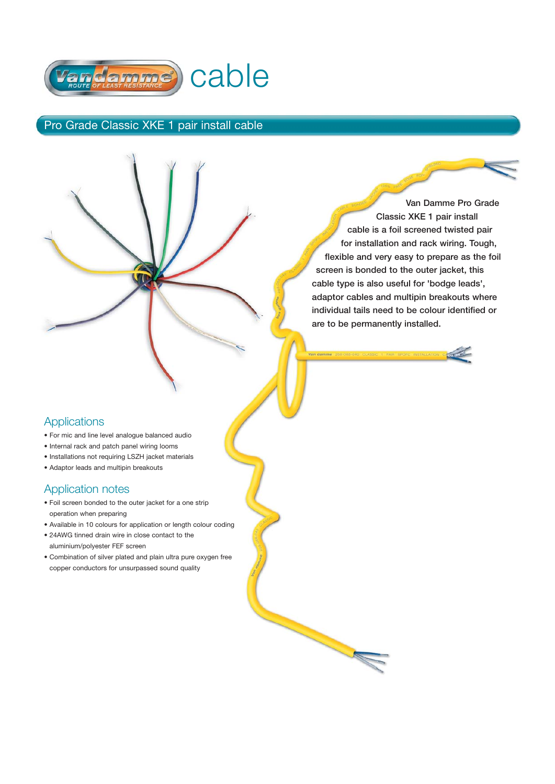

## Pro Grade Classic XKE 1 pair install cable

W

**Van Damme Pro Grade Classic XKE 1 pair install cable is a foil screened twisted pair for installation and rack wiring. Tough, flexible and very easy to prepare as the foil screen is bonded to the outer jacket, this cable type is also useful for 'bodge leads', adaptor cables and multipin breakouts where individual tails need to be colour identified or are to be permanently installed.**

### **Applications**

- For mic and line level analogue balanced audio
- Internal rack and patch panel wiring looms
- Installations not requiring LSZH jacket materials
- Adaptor leads and multipin breakouts

#### Application notes

- Foil screen bonded to the outer jacket for a one strip operation when preparing
- Available in 10 colours for application or length colour coding
- 24AWG tinned drain wire in close contact to the aluminium/polyester FEF screen
- Combination of silver plated and plain ultra pure oxygen free copper conductors for unsurpassed sound quality